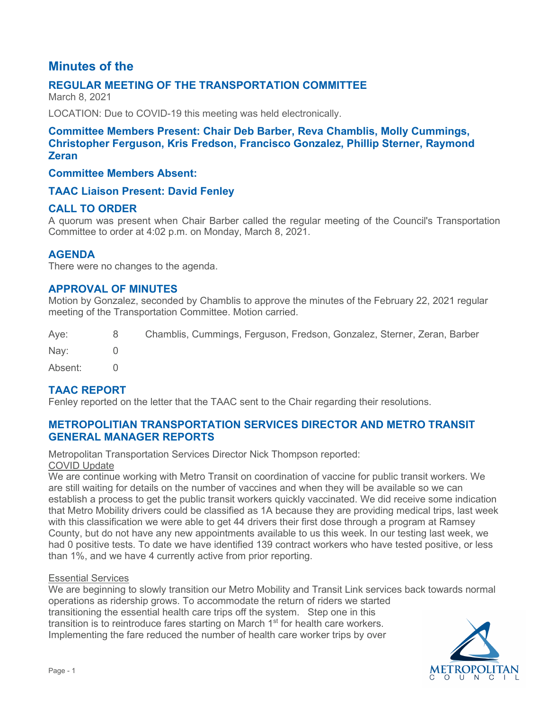# **Minutes of the**

## **REGULAR MEETING OF THE TRANSPORTATION COMMITTEE**

March 8, 2021

LOCATION: Due to COVID-19 this meeting was held electronically.

## **Committee Members Present: Chair Deb Barber, Reva Chamblis, Molly Cummings, Christopher Ferguson, Kris Fredson, Francisco Gonzalez, Phillip Sterner, Raymond Zeran**

#### **Committee Members Absent:**

#### **TAAC Liaison Present: David Fenley**

#### **CALL TO ORDER**

A quorum was present when Chair Barber called the regular meeting of the Council's Transportation Committee to order at 4:02 p.m. on Monday, March 8, 2021.

#### **AGENDA**

There were no changes to the agenda.

#### **APPROVAL OF MINUTES**

Motion by Gonzalez, seconded by Chamblis to approve the minutes of the February 22, 2021 regular meeting of the Transportation Committee. Motion carried.

| Aye:    | 8 <sup>1</sup> | Chamblis, Cummings, Ferguson, Fredson, Gonzalez, Sterner, Zeran, Barber |
|---------|----------------|-------------------------------------------------------------------------|
| Nav:    |                |                                                                         |
| Absent: |                |                                                                         |

## **TAAC REPORT**

Fenley reported on the letter that the TAAC sent to the Chair regarding their resolutions.

### **METROPOLITIAN TRANSPORTATION SERVICES DIRECTOR AND METRO TRANSIT GENERAL MANAGER REPORTS**

Metropolitan Transportation Services Director Nick Thompson reported: COVID Update

We are continue working with Metro Transit on coordination of vaccine for public transit workers. We are still waiting for details on the number of vaccines and when they will be available so we can establish a process to get the public transit workers quickly vaccinated. We did receive some indication that Metro Mobility drivers could be classified as 1A because they are providing medical trips, last week with this classification we were able to get 44 drivers their first dose through a program at Ramsey County, but do not have any new appointments available to us this week. In our testing last week, we had 0 positive tests. To date we have identified 139 contract workers who have tested positive, or less than 1%, and we have 4 currently active from prior reporting.

#### Essential Services

We are beginning to slowly transition our Metro Mobility and Transit Link services back towards normal operations as ridership grows. To accommodate the return of riders we started transitioning the essential health care trips off the system. Step one in this transition is to reintroduce fares starting on March 1<sup>st</sup> for health care workers. Implementing the fare reduced the number of health care worker trips by over

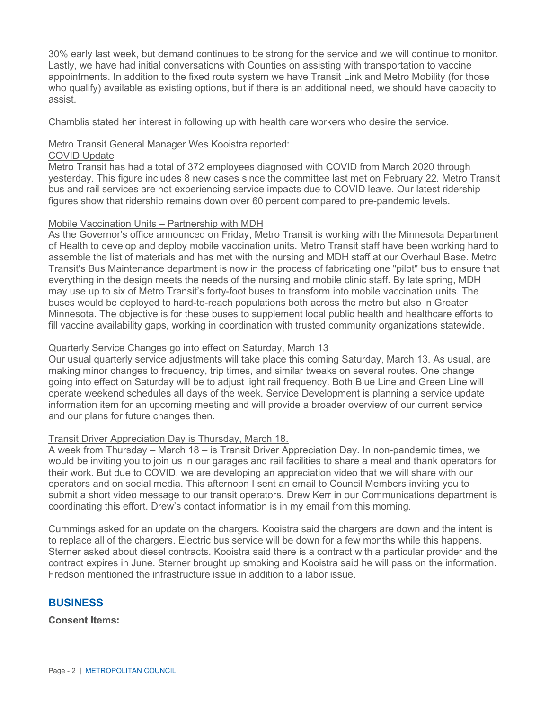30% early last week, but demand continues to be strong for the service and we will continue to monitor. Lastly, we have had initial conversations with Counties on assisting with transportation to vaccine appointments. In addition to the fixed route system we have Transit Link and Metro Mobility (for those who qualify) available as existing options, but if there is an additional need, we should have capacity to assist.

Chamblis stated her interest in following up with health care workers who desire the service.

#### Metro Transit General Manager Wes Kooistra reported:

#### COVID Update

Metro Transit has had a total of 372 employees diagnosed with COVID from March 2020 through yesterday. This figure includes 8 new cases since the committee last met on February 22. Metro Transit bus and rail services are not experiencing service impacts due to COVID leave. Our latest ridership figures show that ridership remains down over 60 percent compared to pre-pandemic levels.

#### Mobile Vaccination Units – Partnership with MDH

As the Governor's office announced on Friday, Metro Transit is working with the Minnesota Department of Health to develop and deploy mobile vaccination units. Metro Transit staff have been working hard to assemble the list of materials and has met with the nursing and MDH staff at our Overhaul Base. Metro Transit's Bus Maintenance department is now in the process of fabricating one "pilot" bus to ensure that everything in the design meets the needs of the nursing and mobile clinic staff. By late spring, MDH may use up to six of Metro Transit's forty-foot buses to transform into mobile vaccination units. The buses would be deployed to hard-to-reach populations both across the metro but also in Greater Minnesota. The objective is for these buses to supplement local public health and healthcare efforts to fill vaccine availability gaps, working in coordination with trusted community organizations statewide.

#### Quarterly Service Changes go into effect on Saturday, March 13

Our usual quarterly service adjustments will take place this coming Saturday, March 13. As usual, are making minor changes to frequency, trip times, and similar tweaks on several routes. One change going into effect on Saturday will be to adjust light rail frequency. Both Blue Line and Green Line will operate weekend schedules all days of the week. Service Development is planning a service update information item for an upcoming meeting and will provide a broader overview of our current service and our plans for future changes then.

#### Transit Driver Appreciation Day is Thursday, March 18.

A week from Thursday – March 18 – is Transit Driver Appreciation Day. In non-pandemic times, we would be inviting you to join us in our garages and rail facilities to share a meal and thank operators for their work. But due to COVID, we are developing an appreciation video that we will share with our operators and on social media. This afternoon I sent an email to Council Members inviting you to submit a short video message to our transit operators. Drew Kerr in our Communications department is coordinating this effort. Drew's contact information is in my email from this morning.

Cummings asked for an update on the chargers. Kooistra said the chargers are down and the intent is to replace all of the chargers. Electric bus service will be down for a few months while this happens. Sterner asked about diesel contracts. Kooistra said there is a contract with a particular provider and the contract expires in June. Sterner brought up smoking and Kooistra said he will pass on the information. Fredson mentioned the infrastructure issue in addition to a labor issue.

#### **BUSINESS**

**Consent Items:**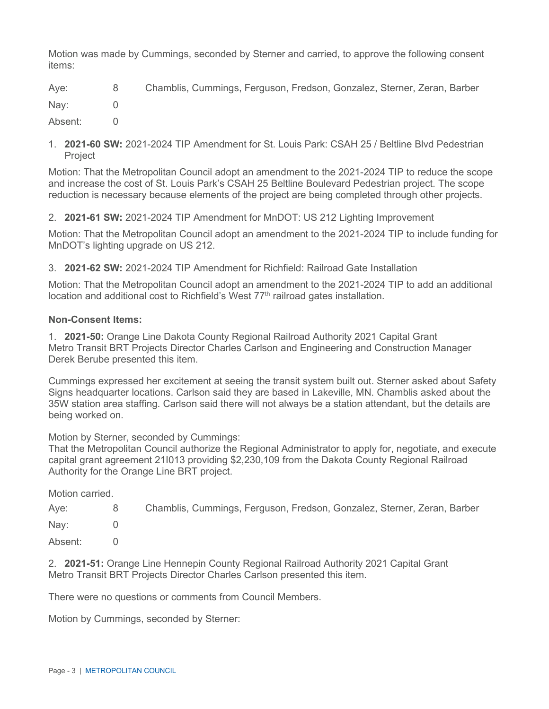Motion was made by Cummings, seconded by Sterner and carried, to approve the following consent items:

Aye: 8 Chamblis, Cummings, Ferguson, Fredson, Gonzalez, Sterner, Zeran, Barber

Nay: 0

Absent: 0

1. **2021-60 SW:** 2021-2024 TIP Amendment for St. Louis Park: CSAH 25 / Beltline Blvd Pedestrian Project

Motion: That the Metropolitan Council adopt an amendment to the 2021-2024 TIP to reduce the scope and increase the cost of St. Louis Park's CSAH 25 Beltline Boulevard Pedestrian project. The scope reduction is necessary because elements of the project are being completed through other projects.

2. **2021-61 SW:** 2021-2024 TIP Amendment for MnDOT: US 212 Lighting Improvement

Motion: That the Metropolitan Council adopt an amendment to the 2021-2024 TIP to include funding for MnDOT's lighting upgrade on US 212.

3. **2021-62 SW:** 2021-2024 TIP Amendment for Richfield: Railroad Gate Installation

Motion: That the Metropolitan Council adopt an amendment to the 2021-2024 TIP to add an additional location and additional cost to Richfield's West  $77<sup>th</sup>$  railroad gates installation.

#### **Non-Consent Items:**

1. **2021-50:** Orange Line Dakota County Regional Railroad Authority 2021 Capital Grant Metro Transit BRT Projects Director Charles Carlson and Engineering and Construction Manager Derek Berube presented this item.

Cummings expressed her excitement at seeing the transit system built out. Sterner asked about Safety Signs headquarter locations. Carlson said they are based in Lakeville, MN. Chamblis asked about the 35W station area staffing. Carlson said there will not always be a station attendant, but the details are being worked on.

Motion by Sterner, seconded by Cummings:

That the Metropolitan Council authorize the Regional Administrator to apply for, negotiate, and execute capital grant agreement 21I013 providing \$2,230,109 from the Dakota County Regional Railroad Authority for the Orange Line BRT project.

Motion carried.

| Aye:    | 8 <sup>1</sup> | Chamblis, Cummings, Ferguson, Fredson, Gonzalez, Sterner, Zeran, Barber |
|---------|----------------|-------------------------------------------------------------------------|
| Nay:    |                |                                                                         |
| Absent: |                |                                                                         |

2. **2021-51:** Orange Line Hennepin County Regional Railroad Authority 2021 Capital Grant Metro Transit BRT Projects Director Charles Carlson presented this item.

There were no questions or comments from Council Members.

Motion by Cummings, seconded by Sterner: